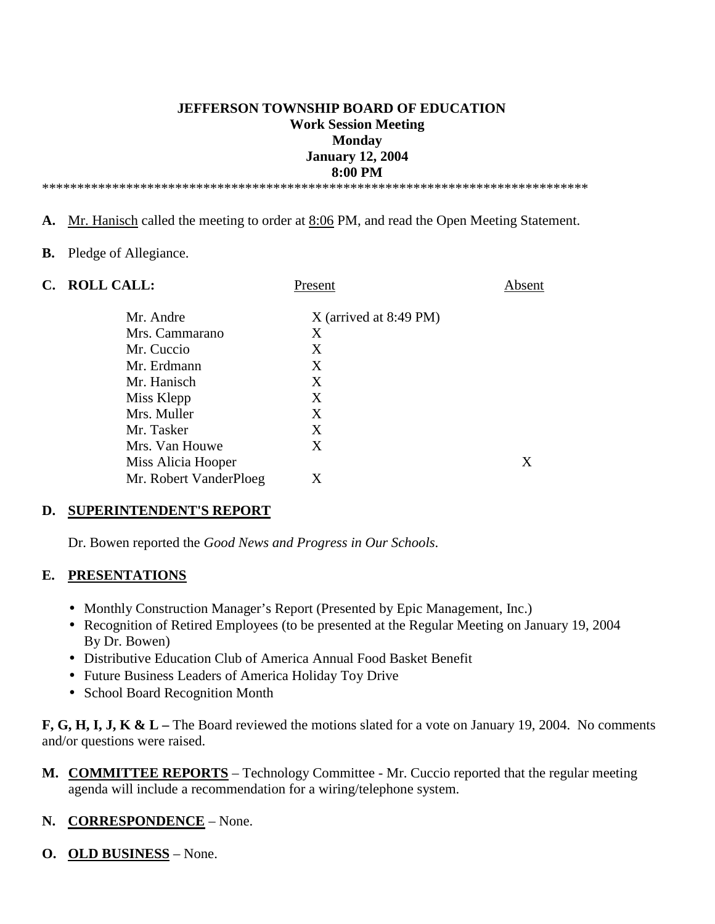## **JEFFERSON TOWNSHIP BOARD OF EDUCATION Work Session Meeting Monday January 12, 2004 8:00 PM**

\*\*\*\*\*\*\*\*\*\*\*\*\*\*\*\*\*\*\*\*\*\*\*\*\*\*\*\*\*\*\*\*\*\*\*\*\*\*\*\*\*\*\*\*\*\*\*\*\*\*\*\*\*\*\*\*\*\*\*\*\*\*\*\*\*\*\*\*\*\*\*\*\*\*\*\*\*\*

- **A.** Mr. Hanisch called the meeting to order at 8:06 PM, and read the Open Meeting Statement.
- **B.** Pledge of Allegiance.
- 

**C. ROLL CALL:** Present Absent Mr. Andre X (arrived at 8:49 PM) Mrs. Cammarano X Mr. Cuccio X Mr. Erdmann X Mr. Hanisch X Miss Klepp X Mrs. Muller X Mr. Tasker X Mrs. Van Houwe X Miss Alicia Hooper X Mr. Robert VanderPloeg X

#### **D. SUPERINTENDENT'S REPORT**

Dr. Bowen reported the *Good News and Progress in Our Schools*.

#### **E. PRESENTATIONS**

- Monthly Construction Manager's Report (Presented by Epic Management, Inc.)
- Recognition of Retired Employees (to be presented at the Regular Meeting on January 19, 2004 By Dr. Bowen)
- Distributive Education Club of America Annual Food Basket Benefit
- Future Business Leaders of America Holiday Toy Drive
- School Board Recognition Month

**F, G, H, I, J, K & L –** The Board reviewed the motions slated for a vote on January 19, 2004. No comments and/or questions were raised.

**M. COMMITTEE REPORTS** – Technology Committee - Mr. Cuccio reported that the regular meeting agenda will include a recommendation for a wiring/telephone system.

#### **N. CORRESPONDENCE** – None.

**O. OLD BUSINESS** – None.